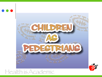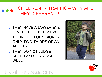### CHILDREN IN TRAFFIC – WHY ARE THEY DIFFERENT?

- THEY HAVE A LOWER EYE LEVEL – BLOCKED VIEW
- THEIR FIELD OF VISION IS ONLY TWO-THIRDS OF AN ADULTS
- THEY DO NOT JUDGE SPEED AND DISTANCE **WELL**



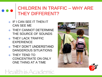### CHILDREN IN TRAFFIC – WHY ARE THEY DIFFERENT?

- IF I CAN SEE IT THEN IT CAN SEE ME
- THEY CANNOT DETERMINE THE SOURCE OF SOUNDS
- o THEY LACK TRAFFIC EXPERIENCE
- THEY DON'T UNDERSTAND DANGEROUS SITUATIONS
- THEY TEND TO CONCENTRATE ON ONLY ONE THING AT A TIME



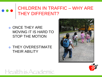### CHILDREN IN TRAFFIC – WHY ARE THEY DIFFERENT?

### **ONCE THEY ARE** MOVING IT IS HARD TO STOP THE MOTION

 THEY OVERESTIMATE THEIR ABILITY



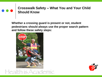**Whether a crossing guard is present or not, student pedestrians should always use the proper search pattern and follow these safety steps:**



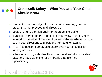- Stop at the curb or edge of the street (if a crossing guard is present, do not proceed until directed).
- Look left, right, then left again for approaching traffic.
- o If vehicles parked on the street block your view of traffic, move forward to the edge of the line of parked vehicles where you can see in both directions and look left, right and left again.
- At an intersection corner, also check over your shoulder for turning vehicles.
- When safe to go, walk directly across the street at a consistent pace and keep watching for any traffic that might be approaching.

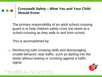The primary responsibility of an adult school crossing guard is to help children safely cross the street at a school crossing as they walk to and from school.

This is accomplished by:

Health is Academic

 Reinforcing safe crossing skills and discouraging unsafe behavior near traffic, such as darting into the street without looking or crossing against a traffic signal.

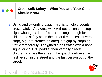Using and extending gaps in traffic to help students cross safely. At a crosswalk without a signal or stop sign, when gaps in traffic are not long enough for children to safely cross the street (i.e., unless drivers stop), a guard creates an adequate gap by stopping traffic temporarily. The guard stops traffic with a hand signal or a STOP paddle, then verbally directs children to cross the street. The guard is always the first person in the street and the last person out of the street.

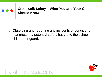Observing and reporting any incidents or conditions that present a potential safety hazard to the school children or guard.

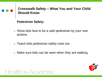

**Pedestrian Safety:**

- Show kids how to be a safe pedestrian by your own actions.
- Teach kids pedestrian safety rules too.
- Make sure kids can be seen when they are walking.

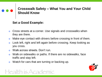#### **Set a Good Example:**

- Cross streets at a corner. Use signals and crosswalks when they are there.
- o Make eye contact with drivers before crossing in front of them.
- Look left, right and left again before crossing. Keep looking as you cross.
- Walk across streets. Don't run.
- Walk on sidewalks or paths. If there are no sidewalks, face traffic and stay left.
- Watch for cars that are turning or backing up.

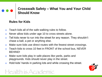#### **Rules for Kids**

- **o** Teach kids all of the safe walking rules to follow.
- o Never allow kids under age 10 to cross streets alone.
- o Tell kids never to run into the street for any reason. They shouldn't chase a ball, a pet or anything else.
- o Make sure kids use direct routes with the fewest street crossings.
- o Teach kids to cross 10 feet in FRONT of the school bus, NEVER BEHIND!
- o Make sure kids play in safe places like yards, parks and playgrounds. Kids should never play in the street.
- Hold kids' hands in parking lots and while crossing the street.